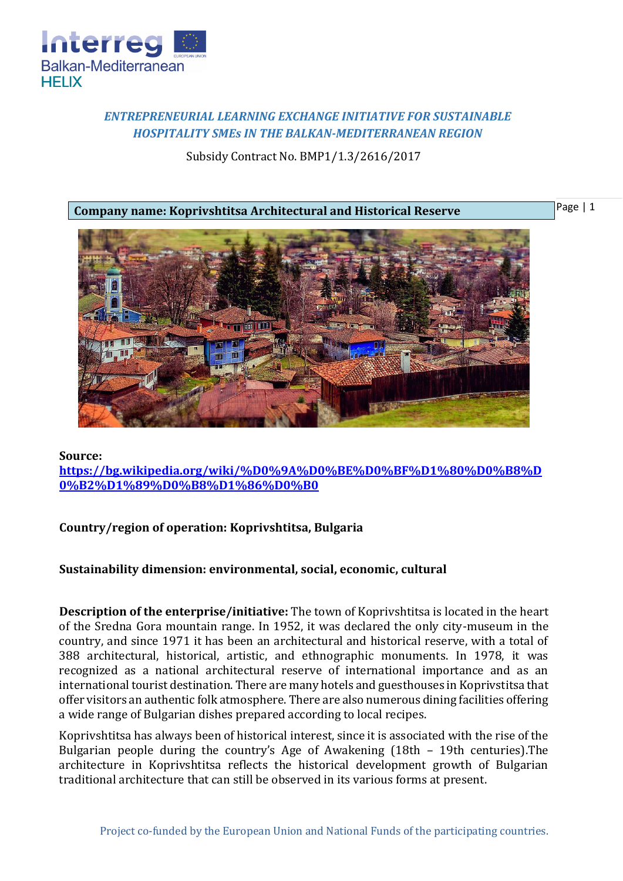

# *ENTREPRENEURIAL LEARNING EXCHANGE INITIATIVE FOR SUSTAINABLE HOSPITALITY SMEs IN THE BALKAN-MEDITERRANEAN REGION*

Subsidy Contract No. BMP1/1.3/2616/2017

**Company name: Koprivshtitsa Architectural and Historical Reserve**

Page | 1



#### **Source:**

**[https://bg.wikipedia.org/wiki/%D0%9A%D0%BE%D0%BF%D1%80%D0%B8%D](https://bg.wikipedia.org/wiki/%D0%9A%D0%BE%D0%BF%D1%80%D0%B8%D0%B2%D1%89%D0%B8%D1%86%D0%B0) [0%B2%D1%89%D0%B8%D1%86%D0%B0](https://bg.wikipedia.org/wiki/%D0%9A%D0%BE%D0%BF%D1%80%D0%B8%D0%B2%D1%89%D0%B8%D1%86%D0%B0)**

## **Country/region of operation: Koprivshtitsa, Bulgaria**

## **Sustainability dimension: environmental, social, economic, cultural**

**Description of the enterprise/initiative:** The town of Koprivshtitsa is located in the heart of the Sredna Gora mountain range. In 1952, it was declared the only city-museum in the country, and since 1971 it has been an architectural and historical reserve, with a total of 388 architectural, historical, artistic, and ethnographic monuments. In 1978, it was recognized as a national architectural reserve of international importance and as an international tourist destination. There are many hotels and guesthouses in Koprivstitsa that offer visitors an authentic folk atmosphere. There are also numerous dining facilities offering a wide range of Bulgarian dishes prepared according to local recipes.

Koprivshtitsa has always been of historical interest, since it is associated with the rise of the Bulgarian people during the country's Age of Awakening (18th – 19th centuries).The architecture in Koprivshtitsa reflects the historical development growth of Bulgarian traditional architecture that can still be observed in its various forms at present.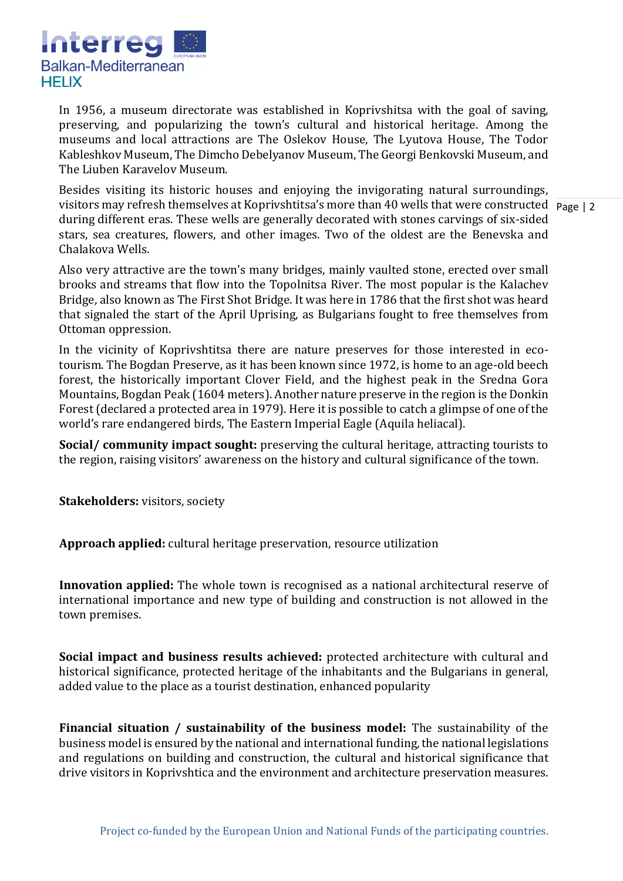

In 1956, a museum directorate was established in Koprivshitsa with the goal of saving, preserving, and popularizing the town's cultural and historical heritage. Among the museums and local attractions are The Oslekov House, The Lyutova House, The Todor Kableshkov Museum, The Dimcho Debelyanov Museum, The Georgi Benkovski Museum, and The Liuben Karavelov Museum.

visitors may refresh themselves at Koprivshtitsa's more than 40 wells that were constructed Page | 2 Besides visiting its historic houses and enjoying the invigorating natural surroundings, during different eras. These wells are generally decorated with stones carvings of six-sided stars, sea creatures, flowers, and other images. Two of the oldest are the Benevska and Chalakova Wells.

Also very attractive are the town's many bridges, mainly vaulted stone, erected over small brooks and streams that flow into the Topolnitsa River. The most popular is the Kalachev Bridge, also known as The First Shot Bridge. It was here in 1786 that the first shot was heard that signaled the start of the April Uprising, as Bulgarians fought to free themselves from Ottoman oppression.

In the vicinity of Koprivshtitsa there are nature preserves for those interested in ecotourism. The Bogdan Preserve, as it has been known since 1972, is home to an age-old beech forest, the historically important Clover Field, and the highest peak in the Sredna Gora Mountains, Bogdan Peak (1604 meters). Another nature preserve in the region is the Donkin Forest (declared a protected area in 1979). Here it is possible to catch a glimpse of one of the world's rare endangered birds, The Eastern Imperial Eagle (Aquila heliacal).

**Social/ community impact sought:** preserving the cultural heritage, attracting tourists to the region, raising visitors' awareness on the history and cultural significance of the town.

**Stakeholders:** visitors, society

**Approach applied:** cultural heritage preservation, resource utilization

**Innovation applied:** The whole town is recognised as a national architectural reserve of international importance and new type of building and construction is not allowed in the town premises.

**Social impact and business results achieved:** protected architecture with cultural and historical significance, protected heritage of the inhabitants and the Bulgarians in general, added value to the place as a tourist destination, enhanced popularity

**Financial situation / sustainability of the business model:** The sustainability of the business model is ensured by the national and international funding, the national legislations and regulations on building and construction, the cultural and historical significance that drive visitors in Koprivshtica and the environment and architecture preservation measures.